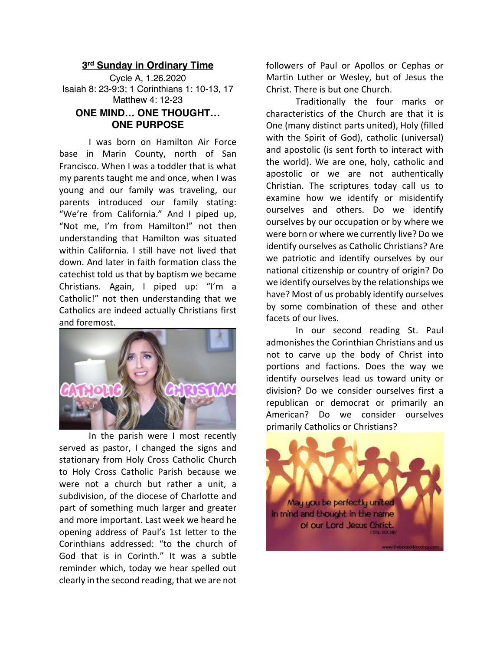## **3rd Sunday in Ordinary Time**

Cycle A, 1.26.2020 Isaiah 8: 23-9:3; 1 Corinthians 1: 10-13, 17 Matthew 4: 12-23

## **ONE MIND… ONE THOUGHT… ONE PURPOSE**

I was born on Hamilton Air Force base in Marin County, north of San Francisco. When I was a toddler that is what my parents taught me and once, when I was young and our family was traveling, our parents introduced our family stating: "We're from California." And I piped up, "Not me, I'm from Hamilton!" not then understanding that Hamilton was situated within California. I still have not lived that down. And later in faith formation class the catechist told us that by baptism we became Christians. Again, I piped up: "I'm a Catholic!" not then understanding that we Catholics are indeed actually Christians first and foremost.



In the parish were I most recently served as pastor, I changed the signs and stationary from Holy Cross Catholic Church to Holy Cross Catholic Parish because we were not a church but rather a unit, a subdivision, of the diocese of Charlotte and part of something much larger and greater and more important. Last week we heard he opening address of Paul's 1st letter to the Corinthians addressed: "to the church of God that is in Corinth." It was a subtle reminder which, today we hear spelled out clearly in the second reading, that we are not

followers of Paul or Apollos or Cephas or Martin Luther or Wesley, but of Jesus the Christ. There is but one Church.

Traditionally the four marks or characteristics of the Church are that it is One (many distinct parts united), Holy (filled with the Spirit of God), catholic (universal) and apostolic (is sent forth to interact with the world). We are one, holy, catholic and apostolic or we are not authentically Christian. The scriptures today call us to examine how we identify or misidentify ourselves and others. Do we identify ourselves by our occupation or by where we were born or where we currently live? Do we identify ourselves as Catholic Christians? Are we patriotic and identify ourselves by our national citizenship or country of origin? Do we identify ourselves by the relationships we have? Most of us probably identify ourselves by some combination of these and other facets of our lives.

In our second reading St. Paul admonishes the Corinthian Christians and us not to carve up the body of Christ into portions and factions. Does the way we identify ourselves lead us toward unity or division? Do we consider ourselves first a republican or democrat or primarily an American? Do we consider ourselves primarily Catholics or Christians?

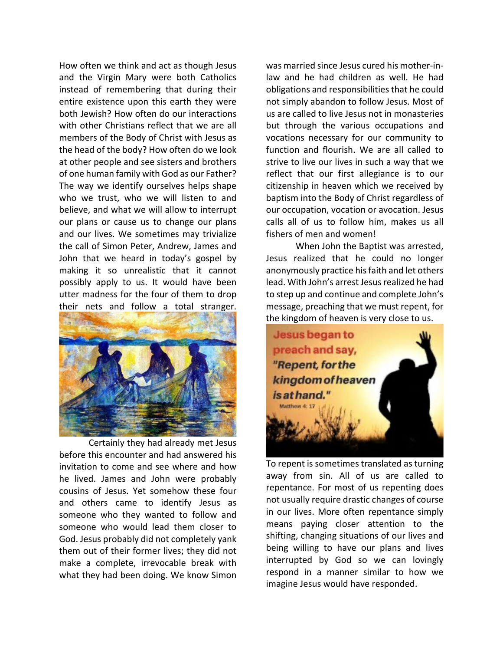How often we think and act as though Jesus and the Virgin Mary were both Catholics instead of remembering that during their entire existence upon this earth they were both Jewish? How often do our interactions with other Christians reflect that we are all members of the Body of Christ with Jesus as the head of the body? How often do we look at other people and see sisters and brothers of one human family with God as our Father? The way we identify ourselves helps shape who we trust, who we will listen to and believe, and what we will allow to interrupt our plans or cause us to change our plans and our lives. We sometimes may trivialize the call of Simon Peter, Andrew, James and John that we heard in today's gospel by making it so unrealistic that it cannot possibly apply to us. It would have been utter madness for the four of them to drop their nets and follow a total stranger.



Certainly they had already met Jesus before this encounter and had answered his invitation to come and see where and how he lived. James and John were probably cousins of Jesus. Yet somehow these four and others came to identify Jesus as someone who they wanted to follow and someone who would lead them closer to God. Jesus probably did not completely yank them out of their former lives; they did not make a complete, irrevocable break with what they had been doing. We know Simon

was married since Jesus cured his mother-inlaw and he had children as well. He had obligations and responsibilities that he could not simply abandon to follow Jesus. Most of us are called to live Jesus not in monasteries but through the various occupations and vocations necessary for our community to function and flourish. We are all called to strive to live our lives in such a way that we reflect that our first allegiance is to our citizenship in heaven which we received by baptism into the Body of Christ regardless of our occupation, vocation or avocation. Jesus calls all of us to follow him, makes us all fishers of men and women!

When John the Baptist was arrested, Jesus realized that he could no longer anonymously practice his faith and let others lead. With John's arrest Jesus realized he had to step up and continue and complete John's message, preaching that we must repent, for the kingdom of heaven is very close to us.



To repent is sometimes translated as turning away from sin. All of us are called to repentance. For most of us repenting does not usually require drastic changes of course in our lives. More often repentance simply means paying closer attention to the shifting, changing situations of our lives and being willing to have our plans and lives interrupted by God so we can lovingly respond in a manner similar to how we imagine Jesus would have responded.